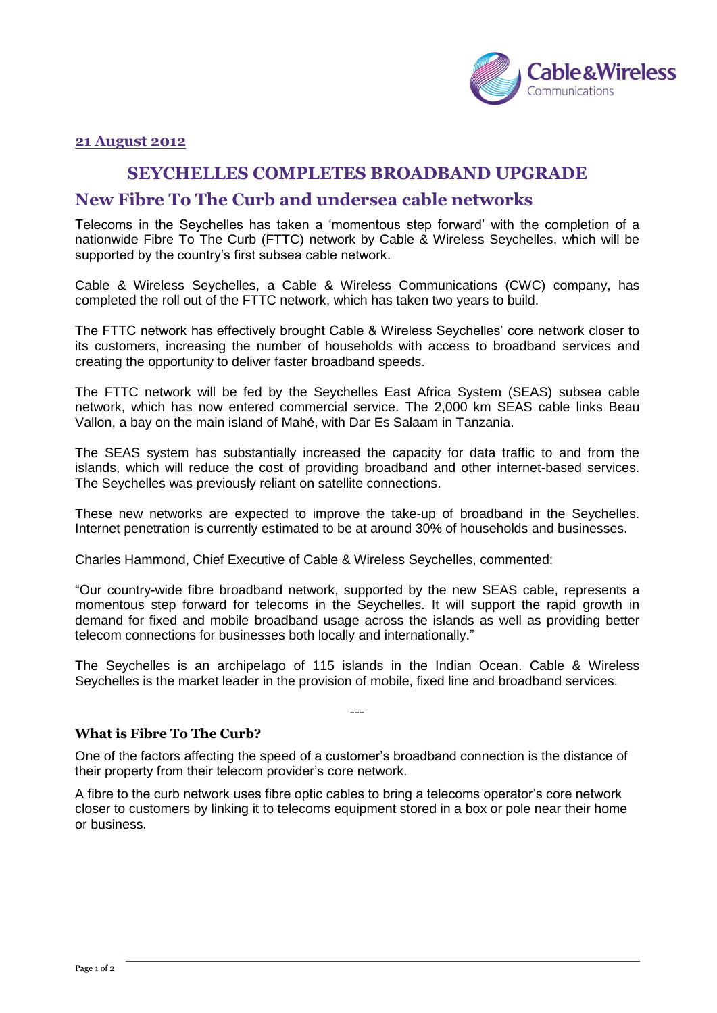

#### **21 August 2012**

## **SEYCHELLES COMPLETES BROADBAND UPGRADE**

# **New Fibre To The Curb and undersea cable networks**

Telecoms in the Seychelles has taken a 'momentous step forward' with the completion of a nationwide Fibre To The Curb (FTTC) network by Cable & Wireless Seychelles, which will be supported by the country's first subsea cable network.

Cable & Wireless Seychelles, a Cable & Wireless Communications (CWC) company, has completed the roll out of the FTTC network, which has taken two years to build.

The FTTC network has effectively brought Cable & Wireless Seychelles' core network closer to its customers, increasing the number of households with access to broadband services and creating the opportunity to deliver faster broadband speeds.

The FTTC network will be fed by the Seychelles East Africa System (SEAS) subsea cable network, which has now entered commercial service. The 2,000 km SEAS cable links Beau Vallon, a bay on the main island of Mahé, with Dar Es Salaam in Tanzania.

The SEAS system has substantially increased the capacity for data traffic to and from the islands, which will reduce the cost of providing broadband and other internet-based services. The Seychelles was previously reliant on satellite connections.

These new networks are expected to improve the take-up of broadband in the Seychelles. Internet penetration is currently estimated to be at around 30% of households and businesses.

Charles Hammond, Chief Executive of Cable & Wireless Seychelles, commented:

"Our country-wide fibre broadband network, supported by the new SEAS cable, represents a momentous step forward for telecoms in the Seychelles. It will support the rapid growth in demand for fixed and mobile broadband usage across the islands as well as providing better telecom connections for businesses both locally and internationally."

The Seychelles is an archipelago of 115 islands in the Indian Ocean. Cable & Wireless Seychelles is the market leader in the provision of mobile, fixed line and broadband services.

---

#### **What is Fibre To The Curb?**

One of the factors affecting the speed of a customer's broadband connection is the distance of their property from their telecom provider's core network.

A fibre to the curb network uses fibre optic cables to bring a telecoms operator's core network closer to customers by linking it to telecoms equipment stored in a box or pole near their home or business.